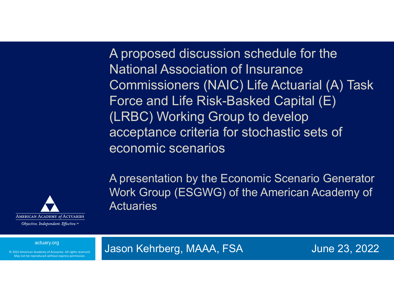A proposed discussion schedule for the National Association of Insurance Commissioners (NAIC) Life Actuarial (A) Task Force and Life Risk-Basked Capital (E) (LRBC) Working Group to develop acceptance criteria for stochastic sets of economic scenarios

A presentation by the Economic Scenario Generator Work Group (ESGWG) of the American Academy of **Actuaries** 



actuary.org

© 2022 American Academy of Actuaries. All rights reserved. May not be reproduced without express permission.

Jason Kehrberg, MAAA, FSA June 23, 2022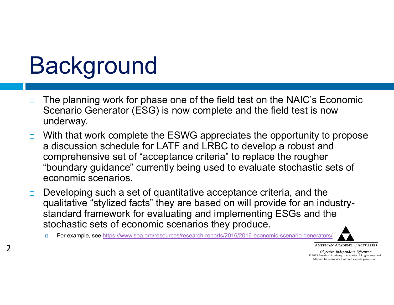# **Background**

 $\mathcal{P}$ 

- $\Box$  The planning work for phase one of the field test on the NAIC's Economic Scenario Generator (ESG) is now complete and the field test is now underway.
- $\Box$  With that work complete the ESWG appreciates the opportunity to propose a discussion schedule for LATF and LRBC to develop a robust and comprehensive set of "acceptance criteria" to replace the rougher "boundary guidance" currently being used to evaluate stochastic sets of economic scenarios.
- $\Box$  Developing such a set of quantitative acceptance criteria, and the qualitative "stylized facts" they are based on will provide for an industrystandard framework for evaluating and implementing ESGs and the stochastic sets of economic scenarios they produce.
	- о For example, see https://www.soa.org/resources/research-reports/2016/2016-economic-scenario-generators/



AMERICAN ACADEMY of ACTUARIES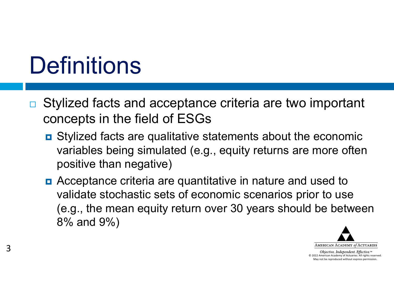# **Definitions**

- $\Box$  Stylized facts and acceptance criteria are two important concepts in the field of ESGs
	- **E** Stylized facts are qualitative statements about the economic variables being simulated (e.g., equity returns are more often positive than negative)
	- **n** Acceptance criteria are quantitative in nature and used to validate stochastic sets of economic scenarios prior to use (e.g., the mean equity return over 30 years should be between 8% and 9%)

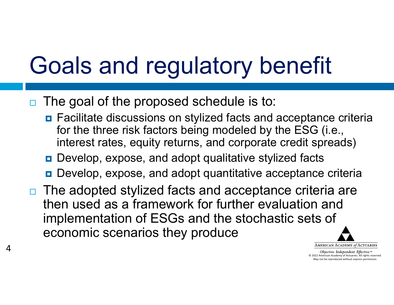# Goals and regulatory benefit

 $\Box$ The goal of the proposed schedule is to:

4

- **<u>n</u>** Facilitate discussions on stylized facts and acceptance criteria for the three risk factors being modeled by the ESG (i.e., interest rates, equity returns, and corporate credit spreads)
- Develop, expose, and adopt qualitative stylized facts
- Develop, expose, and adopt quantitative acceptance criteria
- $\Box$  The adopted stylized facts and acceptance criteria are then used as a framework for further evaluation and implementation of ESGs and the stochastic sets of economic scenarios they produce

AMERICAN ACADEMY of ACTUARIES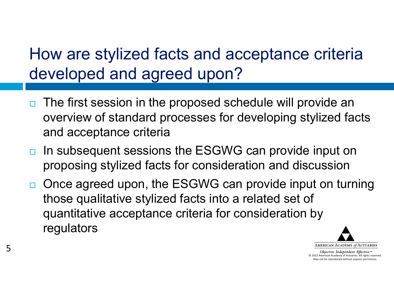#### How are stylized facts and acceptance criteria developed and agreed upon?

- $\Box$  The first session in the proposed schedule will provide an overview of standard processes for developing stylized facts and acceptance criteria
- $\Box$ In subsequent sessions the ESGWG can provide input on proposing stylized facts for consideration and discussion
- $\Box$  Once agreed upon, the ESGWG can provide input on turning those qualitative stylized facts into a related set of quantitative acceptance criteria for consideration by regulators

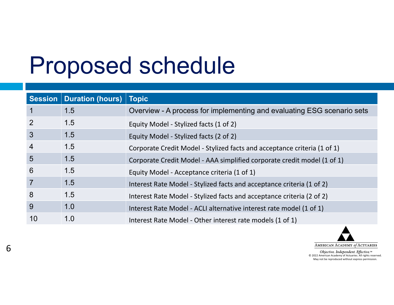## Proposed schedule

|                 | Session   Duration (hours) | <b>Topic</b>                                                             |
|-----------------|----------------------------|--------------------------------------------------------------------------|
| 1               | 1.5                        | Overview - A process for implementing and evaluating ESG scenario sets   |
| $\overline{2}$  | 1.5                        | Equity Model - Stylized facts (1 of 2)                                   |
| $\overline{3}$  | 1.5                        | Equity Model - Stylized facts (2 of 2)                                   |
| $\overline{4}$  | 1.5                        | Corporate Credit Model - Stylized facts and acceptance criteria (1 of 1) |
| $5\overline{)}$ | 1.5                        | Corporate Credit Model - AAA simplified corporate credit model (1 of 1)  |
| 6               | 1.5                        | Equity Model - Acceptance criteria (1 of 1)                              |
| $\overline{7}$  | 1.5                        | Interest Rate Model - Stylized facts and acceptance criteria (1 of 2)    |
| 8               | 1.5                        | Interest Rate Model - Stylized facts and acceptance criteria (2 of 2)    |
| 9               | 1.0                        | Interest Rate Model - ACLI alternative interest rate model (1 of 1)      |
| 10              | 1.0                        | Interest Rate Model - Other interest rate models (1 of 1)                |

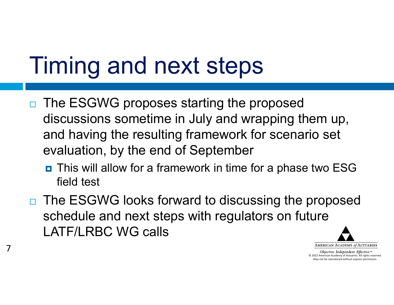## Timing and next steps

7

- $\Box$  The ESGWG proposes starting the proposed discussions sometime in July and wrapping them up, and having the resulting framework for scenario set evaluation, by the end of September
	- This will allow for a framework in time for a phase two ESG field test
- □ The ESGWG looks forward to discussing the proposed schedule and next steps with regulators on future LATF/LRBC WG calls

AMERICAN ACADEMY of ACTUARIES